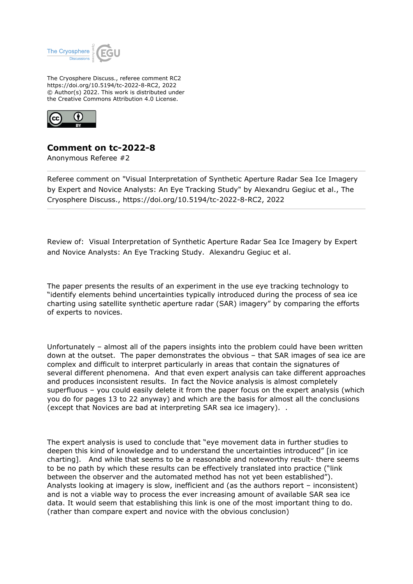

The Cryosphere Discuss., referee comment RC2 https://doi.org/10.5194/tc-2022-8-RC2, 2022 © Author(s) 2022. This work is distributed under the Creative Commons Attribution 4.0 License.



## **Comment on tc-2022-8**

Anonymous Referee #2

Referee comment on "Visual Interpretation of Synthetic Aperture Radar Sea Ice Imagery by Expert and Novice Analysts: An Eye Tracking Study" by Alexandru Gegiuc et al., The Cryosphere Discuss., https://doi.org/10.5194/tc-2022-8-RC2, 2022

Review of: Visual Interpretation of Synthetic Aperture Radar Sea Ice Imagery by Expert and Novice Analysts: An Eye Tracking Study. Alexandru Gegiuc et al.

The paper presents the results of an experiment in the use eye tracking technology to "identify elements behind uncertainties typically introduced during the process of sea ice charting using satellite synthetic aperture radar (SAR) imagery" by comparing the efforts of experts to novices.

Unfortunately – almost all of the papers insights into the problem could have been written down at the outset. The paper demonstrates the obvious – that SAR images of sea ice are complex and difficult to interpret particularly in areas that contain the signatures of several different phenomena. And that even expert analysis can take different approaches and produces inconsistent results. In fact the Novice analysis is almost completely superfluous – you could easily delete it from the paper focus on the expert analysis (which you do for pages 13 to 22 anyway) and which are the basis for almost all the conclusions (except that Novices are bad at interpreting SAR sea ice imagery). .

The expert analysis is used to conclude that "eye movement data in further studies to deepen this kind of knowledge and to understand the uncertainties introduced" [in ice charting]. And while that seems to be a reasonable and noteworthy result- there seems to be no path by which these results can be effectively translated into practice ("link between the observer and the automated method has not yet been established"). Analysts looking at imagery is slow, inefficient and (as the authors report – inconsistent) and is not a viable way to process the ever increasing amount of available SAR sea ice data. It would seem that establishing this link is one of the most important thing to do. (rather than compare expert and novice with the obvious conclusion)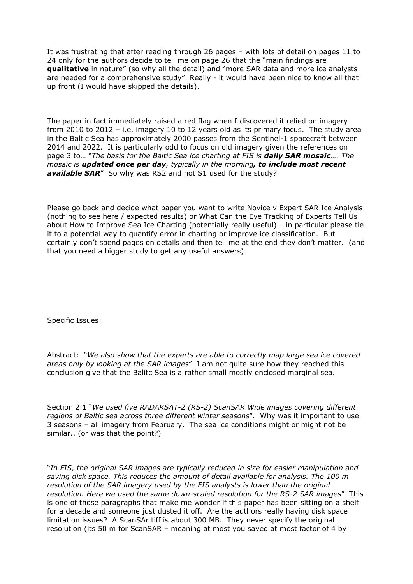It was frustrating that after reading through 26 pages – with lots of detail on pages 11 to 24 only for the authors decide to tell me on page 26 that the "main findings are **qualitative** in nature" (so why all the detail) and "more SAR data and more ice analysts are needed for a comprehensive study". Really - it would have been nice to know all that up front (I would have skipped the details).

The paper in fact immediately raised a red flag when I discovered it relied on imagery from 2010 to 2012 – i.e. imagery 10 to 12 years old as its primary focus. The study area in the Baltic Sea has approximately 2000 passes from the Sentinel-1 spacecraft between 2014 and 2022. It is particularly odd to focus on old imagery given the references on page 3 to… "*The basis for the Baltic Sea ice charting at FIS is daily SAR mosaic…. The mosaic is updated once per day, typically in the morning, to include most recent* **available SAR**" So why was RS2 and not S1 used for the study?

Please go back and decide what paper you want to write Novice v Expert SAR Ice Analysis (nothing to see here / expected results) or What Can the Eye Tracking of Experts Tell Us about How to Improve Sea Ice Charting (potentially really useful) – in particular please tie it to a potential way to quantify error in charting or improve ice classification. But certainly don't spend pages on details and then tell me at the end they don't matter. (and that you need a bigger study to get any useful answers)

Specific Issues:

Abstract: "*We also show that the experts are able to correctly map large sea ice covered areas only by looking at the SAR images*" I am not quite sure how they reached this conclusion give that the Balitc Sea is a rather small mostly enclosed marginal sea.

Section 2.1 "*We used five RADARSAT-2 (RS-2) ScanSAR Wide images covering different regions of Baltic sea across three different winter seasons*". Why was it important to use 3 seasons – all imagery from February. The sea ice conditions might or might not be similar.. (or was that the point?)

"*In FIS, the original SAR images are typically reduced in size for easier manipulation and saving disk space. This reduces the amount of detail available for analysis. The 100 m resolution of the SAR imagery used by the FIS analysts is lower than the original resolution. Here we used the same down-scaled resolution for the RS-2 SAR images*" This is one of those paragraphs that make me wonder if this paper has been sitting on a shelf for a decade and someone just dusted it off. Are the authors really having disk space limitation issues? A ScanSAr tiff is about 300 MB. They never specify the original resolution (its 50 m for ScanSAR – meaning at most you saved at most factor of 4 by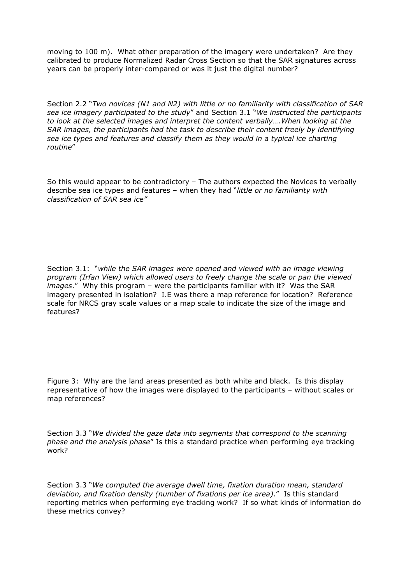moving to 100 m). What other preparation of the imagery were undertaken? Are they calibrated to produce Normalized Radar Cross Section so that the SAR signatures across years can be properly inter-compared or was it just the digital number?

Section 2.2 "*Two novices (N1 and N2) with little or no familiarity with classification of SAR sea ice imagery participated to the study*" and Section 3.1 "*We instructed the participants to look at the selected images and interpret the content verbally….When looking at the SAR images, the participants had the task to describe their content freely by identifying sea ice types and features and classify them as they would in a typical ice charting routine*"

So this would appear to be contradictory – The authors expected the Novices to verbally describe sea ice types and features – when they had "*little or no familiarity with classification of SAR sea ice"* 

Section 3.1: "*while the SAR images were opened and viewed with an image viewing program (Irfan View) which allowed users to freely change the scale or pan the viewed images*." Why this program – were the participants familiar with it? Was the SAR imagery presented in isolation? I.E was there a map reference for location? Reference scale for NRCS gray scale values or a map scale to indicate the size of the image and features?

Figure 3: Why are the land areas presented as both white and black. Is this display representative of how the images were displayed to the participants – without scales or map references?

Section 3.3 "*We divided the gaze data into segments that correspond to the scanning phase and the analysis phase*" Is this a standard practice when performing eye tracking work?

Section 3.3 "*We computed the average dwell time, fixation duration mean, standard deviation, and fixation density (number of fixations per ice area)*." Is this standard reporting metrics when performing eye tracking work? If so what kinds of information do these metrics convey?